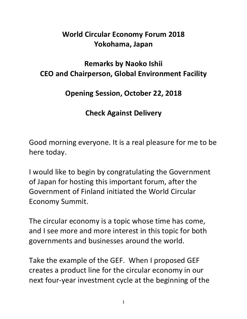## **World Circular Economy Forum 2018 Yokohama, Japan**

## **Remarks by Naoko Ishii CEO and Chairperson, Global Environment Facility**

## **Opening Session, October 22, 2018**

## **Check Against Delivery**

Good morning everyone. It is a real pleasure for me to be here today.

I would like to begin by congratulating the Government of Japan for hosting this important forum, after the Government of Finland initiated the World Circular Economy Summit.

The circular economy is a topic whose time has come, and I see more and more interest in this topic for both governments and businesses around the world.

Take the example of the GEF. When I proposed GEF creates a product line for the circular economy in our next four-year investment cycle at the beginning of the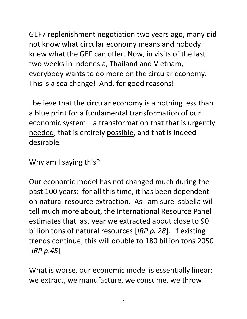GEF7 replenishment negotiation two years ago, many did not know what circular economy means and nobody knew what the GEF can offer. Now, in visits of the last two weeks in Indonesia, Thailand and Vietnam, everybody wants to do more on the circular economy. This is a sea change! And, for good reasons!

I believe that the circular economy is a nothing less than a blue print for a fundamental transformation of our economic system—a transformation that that is urgently needed, that is entirely possible, and that is indeed desirable.

Why am I saying this?

Our economic model has not changed much during the past 100 years: for all this time, it has been dependent on natural resource extraction. As I am sure Isabella will tell much more about, the International Resource Panel estimates that last year we extracted about close to 90 billion tons of natural resources [*IRP p. 28*]. If existing trends continue, this will double to 180 billion tons 2050 [*IRP p.45*]

What is worse, our economic model is essentially linear: we extract, we manufacture, we consume, we throw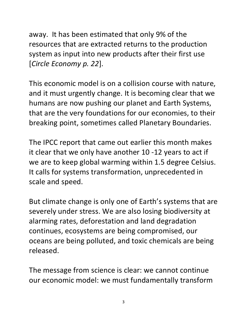away. It has been estimated that only 9% of the resources that are extracted returns to the production system as input into new products after their first use [*Circle Economy p. 22*].

This economic model is on a collision course with nature, and it must urgently change. It is becoming clear that we humans are now pushing our planet and Earth Systems, that are the very foundations for our economies, to their breaking point, sometimes called Planetary Boundaries.

The IPCC report that came out earlier this month makes it clear that we only have another 10 -12 years to act if we are to keep global warming within 1.5 degree Celsius. It calls for systems transformation, unprecedented in scale and speed.

But climate change is only one of Earth's systems that are severely under stress. We are also losing biodiversity at alarming rates, deforestation and land degradation continues, ecosystems are being compromised, our oceans are being polluted, and toxic chemicals are being released.

The message from science is clear: we cannot continue our economic model: we must fundamentally transform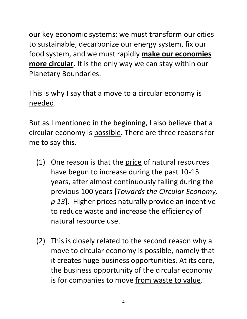our key economic systems: we must transform our cities to sustainable, decarbonize our energy system, fix our food system, and we must rapidly **make our economies more circular**. It is the only way we can stay within our Planetary Boundaries.

This is why I say that a move to a circular economy is needed.

But as I mentioned in the beginning, I also believe that a circular economy is possible. There are three reasons for me to say this.

- (1) One reason is that the price of natural resources have begun to increase during the past 10-15 years, after almost continuously falling during the previous 100 years [*Towards the Circular Economy, p 13*]. Higher prices naturally provide an incentive to reduce waste and increase the efficiency of natural resource use.
- (2) This is closely related to the second reason why a move to circular economy is possible, namely that it creates huge business opportunities. At its core, the business opportunity of the circular economy is for companies to move from waste to value.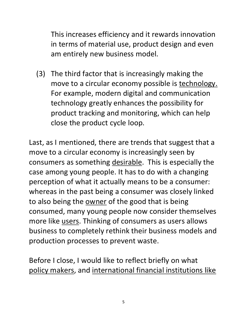This increases efficiency and it rewards innovation in terms of material use, product design and even am entirely new business model.

(3) The third factor that is increasingly making the move to a circular economy possible is technology. For example, modern digital and communication technology greatly enhances the possibility for product tracking and monitoring, which can help close the product cycle loop.

Last, as I mentioned, there are trends that suggest that a move to a circular economy is increasingly seen by consumers as something desirable. This is especially the case among young people. It has to do with a changing perception of what it actually means to be a consumer: whereas in the past being a consumer was closely linked to also being the **owner** of the good that is being consumed, many young people now consider themselves more like users. Thinking of consumers as users allows business to completely rethink their business models and production processes to prevent waste.

Before I close, I would like to reflect briefly on what policy makers, and international financial institutions like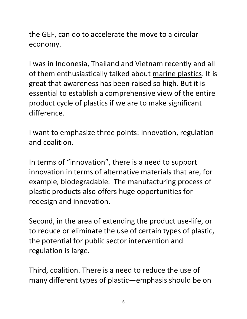the GEF, can do to accelerate the move to a circular economy.

I was in Indonesia, Thailand and Vietnam recently and all of them enthusiastically talked about marine plastics. It is great that awareness has been raised so high. But it is essential to establish a comprehensive view of the entire product cycle of plastics if we are to make significant difference.

I want to emphasize three points: Innovation, regulation and coalition.

In terms of "innovation", there is a need to support innovation in terms of alternative materials that are, for example, biodegradable. The manufacturing process of plastic products also offers huge opportunities for redesign and innovation.

Second, in the area of extending the product use-life, or to reduce or eliminate the use of certain types of plastic, the potential for public sector intervention and regulation is large.

Third, coalition. There is a need to reduce the use of many different types of plastic—emphasis should be on